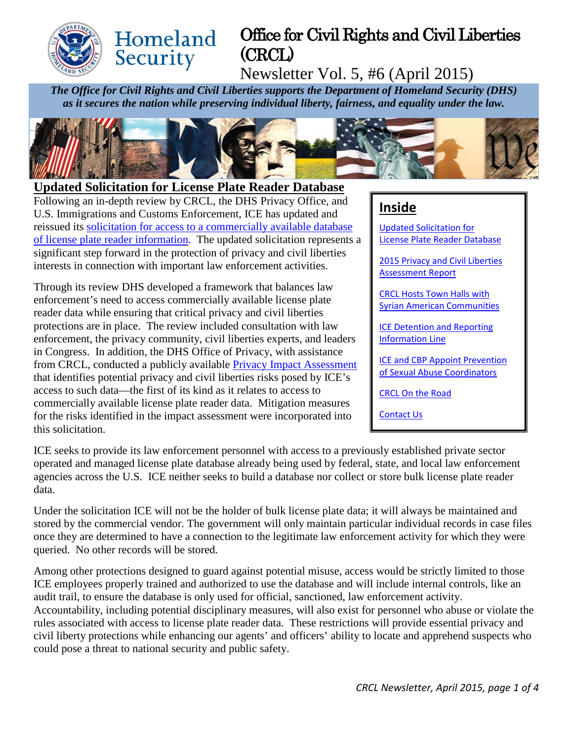

# Office for Civil Rights and Civil Liberties (CRCL)

Newsletter Vol. 5, #6 (April 2015)

*The Office for Civil Rights and Civil Liberties supports the Department of Homeland Security (DHS) as it secures the nation while preserving individual liberty, fairness, and equality under the law.*



### <span id="page-0-0"></span>**Updated Solicitation for License Plate Reader Database**

**Homeland** 

Security

Following an in-depth review by CRCL, the DHS Privacy Office, and U.S. Immigrations and Customs Enforcement, ICE has updated and reissued its [solicitation for access to a commercially available database](https://www.fbo.gov/index?s=opportunity&mode=form&id=a60a1d6959ad17fe63e25267e8542da9&tab=core&_cview=0)  [of license plate reader information.](https://www.fbo.gov/index?s=opportunity&mode=form&id=a60a1d6959ad17fe63e25267e8542da9&tab=core&_cview=0) The updated solicitation represents a significant step forward in the protection of privacy and civil liberties interests in connection with important law enforcement activities.

Through its review DHS developed a framework that balances law enforcement's need to access commercially available license plate reader data while ensuring that critical privacy and civil liberties protections are in place. The review included consultation with law enforcement, the privacy community, civil liberties experts, and leaders in Congress. In addition, the DHS Office of Privacy, with assistance from CRCL, conducted a publicly available [Privacy Impact Assessment](http://www.dhs.gov/sites/default/files/publications/privacy-pia-ice-lpr-march2015.pdf) that identifies potential privacy and civil liberties risks posed by ICE's access to such data—the first of its kind as it relates to access to commercially available license plate reader data. Mitigation measures for the risks identified in the impact assessment were incorporated into this solicitation.

### **Inside**

[Updated Solicitation for](#page-0-0)  [License Plate Reader Database](#page-0-0)

2015 [Privacy and Civil Liberties](#page-1-0)  [Assessment Report](#page-1-0)

[CRCL Hosts Town Halls with](#page-1-1)  [Syrian American Communities](#page-1-1)

[ICE Detention and Reporting](#page-1-2)  [Information Line](#page-1-2)

[ICE and CBP Appoint Prevention](#page-2-0)  [of Sexual Abuse Coordinators](#page-2-0)

[CRCL On the Road](#page-2-1)

[Contact Us](#page-2-2)

ICE seeks to provide its law enforcement personnel with access to a previously established private sector operated and managed license plate database already being used by federal, state, and local law enforcement agencies across the U.S. ICE neither seeks to build a database nor collect or store bulk license plate reader data.

Under the solicitation ICE will not be the holder of bulk license plate data; it will always be maintained and stored by the commercial vendor. The government will only maintain particular individual records in case files once they are determined to have a connection to the legitimate law enforcement activity for which they were queried. No other records will be stored.

Among other protections designed to guard against potential misuse, access would be strictly limited to those ICE employees properly trained and authorized to use the database and will include internal controls, like an audit trail, to ensure the database is only used for official, sanctioned, law enforcement activity. Accountability, including potential disciplinary measures, will also exist for personnel who abuse or violate the rules associated with access to license plate reader data. These restrictions will provide essential privacy and civil liberty protections while enhancing our agents' and officers' ability to locate and apprehend suspects who could pose a threat to national security and public safety.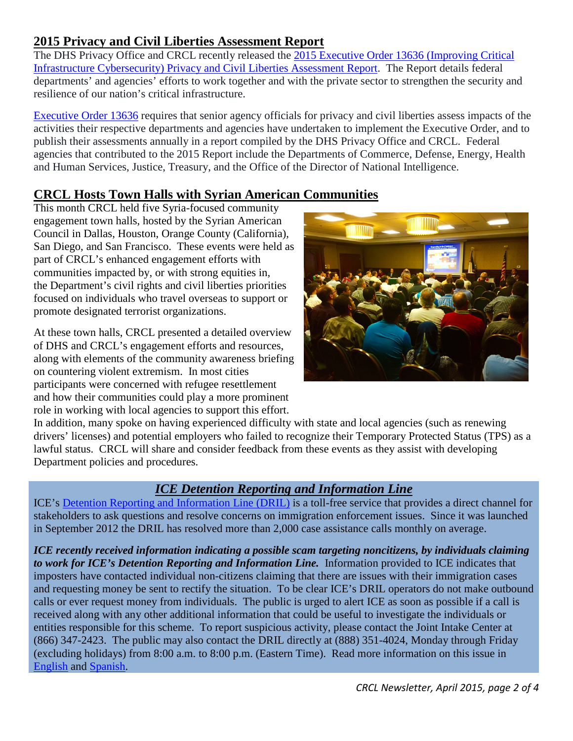# <span id="page-1-0"></span>**2015 Privacy and Civil Liberties Assessment Report**

The DHS Privacy Office and CRCL recently released the [2015 Executive Order 13636 \(Improving Critical](http://www.dhs.gov/sites/default/files/publications/2015%20EO%2013636%20Assessment%20Report-FINAL04-10-2015.pdf)  [Infrastructure Cybersecurity\) Privacy and Civil Liberties Assessment Report.](http://www.dhs.gov/sites/default/files/publications/2015%20EO%2013636%20Assessment%20Report-FINAL04-10-2015.pdf) The Report details federal departments' and agencies' efforts to work together and with the private sector to strengthen the security and resilience of our nation's critical infrastructure.

[Executive Order 13636](https://www.whitehouse.gov/the-press-office/2013/02/12/executive-order-improving-critical-infrastructure-cybersecurity) requires that senior agency officials for privacy and civil liberties assess impacts of the activities their respective departments and agencies have undertaken to implement the Executive Order, and to publish their assessments annually in a report compiled by the DHS Privacy Office and CRCL. Federal agencies that contributed to the 2015 Report include the Departments of Commerce, Defense, Energy, Health and Human Services, Justice, Treasury, and the Office of the Director of National Intelligence.

## <span id="page-1-1"></span>**CRCL Hosts Town Halls with Syrian American Communities**

This month CRCL held five Syria-focused community engagement town halls, hosted by the Syrian American Council in Dallas, Houston, Orange County (California), San Diego, and San Francisco. These events were held as part of CRCL's enhanced engagement efforts with communities impacted by, or with strong equities in, the Department's civil rights and civil liberties priorities focused on individuals who travel overseas to support or promote designated terrorist organizations.

At these town halls, CRCL presented a detailed overview of DHS and CRCL's engagement efforts and resources, along with elements of the community awareness briefing on countering violent extremism. In most cities participants were concerned with refugee resettlement and how their communities could play a more prominent role in working with local agencies to support this effort.



In addition, many spoke on having experienced difficulty with state and local agencies (such as renewing drivers' licenses) and potential employers who failed to recognize their Temporary Protected Status (TPS) as a lawful status. CRCL will share and consider feedback from these events as they assist with developing Department policies and procedures.

# *ICE Detention Reporting and Information Line*

<span id="page-1-2"></span>ICE's [Detention Reporting and Information Line \(DRIL\)](http://www.ice.gov/contact/detention-information-line) is a toll-free service that provides a direct channel for stakeholders to ask questions and resolve concerns on immigration enforcement issues. Since it was launched in September 2012 the DRIL has resolved more than 2,000 case assistance calls monthly on average.

*ICE recently received information indicating a possible scam targeting noncitizens, by individuals claiming to work for ICE's Detention Reporting and Information Line.* Information provided to ICE indicates that imposters have contacted individual non-citizens claiming that there are issues with their immigration cases and requesting money be sent to rectify the situation. To be clear ICE's DRIL operators do not make outbound calls or ever request money from individuals. The public is urged to alert ICE as soon as possible if a call is received along with any other additional information that could be useful to investigate the individuals or entities responsible for this scheme. To report suspicious activity, please contact the Joint Intake Center at (866) 347-2423. The public may also contact the DRIL directly at (888) 351-4024, Monday through Friday (excluding holidays) from 8:00 a.m. to 8:00 p.m. (Eastern Time). Read more information on this issue in [English](https://www.ice.gov/sites/default/files/documents/Document/2015/DRIL_helpline_flyer_community.pdf) and [Spanish.](https://www.ice.gov/sites/default/files/documents/Document/2015/DRIL_helpline_flyer_community_spanish.pdf)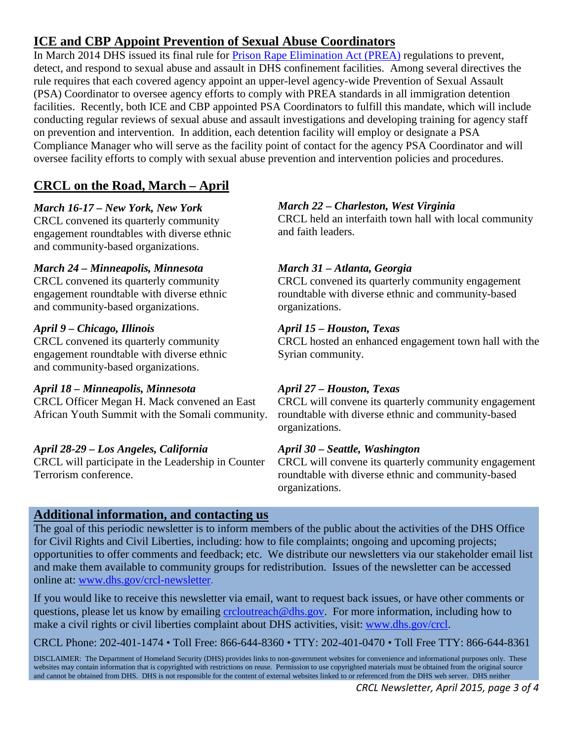# <span id="page-2-0"></span>**ICE and CBP Appoint Prevention of Sexual Abuse Coordinators**

In March 2014 DHS issued its final rule for [Prison Rape Elimination Act \(PREA\)](http://www.gpo.gov/fdsys/pkg/PLAW-108publ79/pdf/PLAW-108publ79.pdf) regulations to prevent, detect, and respond to sexual abuse and assault in DHS confinement facilities. Among several directives the rule requires that each covered agency appoint an upper-level agency-wide Prevention of Sexual Assault (PSA) Coordinator to oversee agency efforts to comply with PREA standards in all immigration detention facilities. Recently, both ICE and CBP appointed PSA Coordinators to fulfill this mandate, which will include conducting regular reviews of sexual abuse and assault investigations and developing training for agency staff on prevention and intervention. In addition, each detention facility will employ or designate a PSA Compliance Manager who will serve as the facility point of contact for the agency PSA Coordinator and will oversee facility efforts to comply with sexual abuse prevention and intervention policies and procedures.

# <span id="page-2-1"></span>**CRCL on the Road, March – April**

#### *March 16-17 – New York, New York*

CRCL convened its quarterly community engagement roundtables with diverse ethnic and community-based organizations.

#### *March 24 – Minneapolis, Minnesota*

CRCL convened its quarterly community engagement roundtable with diverse ethnic and community-based organizations.

#### *April 9 – Chicago, Illinois*

CRCL convened its quarterly community engagement roundtable with diverse ethnic and community-based organizations.

#### *April 18 – Minneapolis, Minnesota*

CRCL Officer Megan H. Mack convened an East African Youth Summit with the Somali community.

#### *April 28-29 – Los Angeles, California*

CRCL will participate in the Leadership in Counter Terrorism conference.

### *March 22 – Charleston, West Virginia*

CRCL held an interfaith town hall with local community and faith leaders.

#### *March 31 – Atlanta, Georgia*

CRCL convened its quarterly community engagement roundtable with diverse ethnic and community-based organizations.

#### *April 15 – Houston, Texas*

CRCL hosted an enhanced engagement town hall with the Syrian community.

### *April 27 – Houston, Texas*

CRCL will convene its quarterly community engagement roundtable with diverse ethnic and community-based organizations.

### *April 30 – Seattle, Washington*

CRCL will convene its quarterly community engagement roundtable with diverse ethnic and community-based organizations.

### <span id="page-2-2"></span>**Additional information, and contacting us**

The goal of this periodic newsletter is to inform members of the public about the activities of the DHS Office for Civil Rights and Civil Liberties, including: how to file complaints; ongoing and upcoming projects; opportunities to offer comments and feedback; etc. We distribute our newsletters via our stakeholder email list and make them available to community groups for redistribution. Issues of the newsletter can be accessed online at: [www.dhs.gov/crcl-newsletter.](http://www.dhs.gov/crcl-newsletter)

If you would like to receive this newsletter via email, want to request back issues, or have other comments or questions, please let us know by emailing [crcloutreach@dhs.gov.](mailto:crcloutreach@dhs.gov) For more information, including how to make a civil rights or civil liberties complaint about DHS activities, visit: [www.dhs.gov/crcl.](http://www.dhs.gov/crcl)

CRCL Phone: 202-401-1474 *•* Toll Free: 866-644-8360 *•* TTY: 202-401-0470 *•* Toll Free TTY: 866-644-8361

DISCLAIMER: The Department of Homeland Security (DHS) provides links to non-government websites for convenience and informational purposes only. These websites may contain information that is copyrighted with restrictions on reuse. Permission to use copyrighted materials must be obtained from the original source and cannot be obtained from DHS. DHS is not responsible for the content of external websites linked to or referenced from the DHS web server. DHS neither